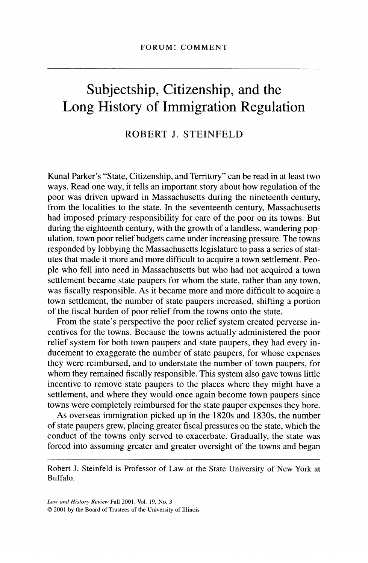## Subjectship, Citizenship, and the Long History of Immigration Regulation

## ROBERT J. STEINFELD

 Kunal Parker's "State, Citizenship, and Territory" can be read in at least two ways. Read one way, it tells an important story about how regulation of the poor was driven upward in Massachusetts during the nineteenth century, from the localities to the state. In the seventeenth century, Massachusetts had imposed primary responsibility for care of the poor on its towns. But during the eighteenth century, with the growth of a landless, wandering pop ulation, town poor relief budgets came under increasing pressure. The towns responded by lobbying the Massachusetts legislature to pass a series of stat utes that made it more and more difficult to acquire a town settlement. Peo ple who fell into need in Massachusetts but who had not acquired a town settlement became state paupers for whom the state, rather than any town, was fiscally responsible. As it became more and more difficult to acquire a town settlement, the number of state paupers increased, shifting a portion of the fiscal burden of poor relief from the towns onto the state.

 From the state's perspective the poor relief system created perverse in centives for the towns. Because the towns actually administered the poor relief system for both town paupers and state paupers, they had every in ducement to exaggerate the number of state paupers, for whose expenses they were reimbursed, and to understate the number of town paupers, for whom they remained fiscally responsible. This system also gave towns little incentive to remove state paupers to the places where they might have a settlement, and where they would once again become town paupers since towns were completely reimbursed for the state pauper expenses they bore.

 As overseas immigration picked up in the 1820s and 1830s, the number of state paupers grew, placing greater fiscal pressures on the state, which the conduct of the towns only served to exacerbate. Gradually, the state was forced into assuming greater and greater oversight of the towns and began

 Robert J. Steinfeld is Professor of Law at the State University of New York at Buffalo.

 Law and History Review Fall 2001, Vol. 19, No. 3 ? 2001 by the Board of Trustees of the University of Illinois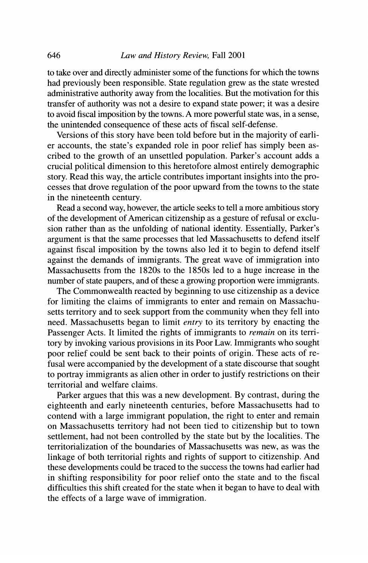to take over and directly administer some of the functions for which the towns had previously been responsible. State regulation grew as the state wrested administrative authority away from the localities. But the motivation for this transfer of authority was not a desire to expand state power; it was a desire to avoid fiscal imposition by the towns. A more powerful state was, in a sense, the unintended consequence of these acts of fiscal self-defense.

 Versions of this story have been told before but in the majority of earli er accounts, the state's expanded role in poor relief has simply been as cribed to the growth of an unsettled population. Parker's account adds a crucial political dimension to this heretofore almost entirely demographic story. Read this way, the article contributes important insights into the pro cesses that drove regulation of the poor upward from the towns to the state in the nineteenth century.

 Read a second way, however, the article seeks to tell a more ambitious story of the development of American citizenship as a gesture of refusal or exclu sion rather than as the unfolding of national identity. Essentially, Parker's argument is that the same processes that led Massachusetts to defend itself against fiscal imposition by the towns also led it to begin to defend itself against the demands of immigrants. The great wave of immigration into Massachusetts from the 1820s to the 1850s led to a huge increase in the number of state paupers, and of these a growing proportion were immigrants.

 The Commonwealth reacted by beginning to use citizenship as a device for limiting the claims of immigrants to enter and remain on Massachu setts territory and to seek support from the community when they fell into need. Massachusetts began to limit entry to its territory by enacting the Passenger Acts. It limited the rights of immigrants to remain on its terri tory by invoking various provisions in its Poor Law. Immigrants who sought poor relief could be sent back to their points of origin. These acts of re fusal were accompanied by the development of a state discourse that sought to portray immigrants as alien other in order to justify restrictions on their territorial and welfare claims.

 Parker argues that this was a new development. By contrast, during the eighteenth and early nineteenth centuries, before Massachusetts had to contend with a large immigrant population, the right to enter and remain on Massachusetts territory had not been tied to citizenship but to town settlement, had not been controlled by the state but by the localities. The territorialization of the boundaries of Massachusetts was new, as was the linkage of both territorial rights and rights of support to citizenship. And these developments could be traced to the success the towns had earlier had in shifting responsibility for poor relief onto the state and to the fiscal difficulties this shift created for the state when it began to have to deal with the effects of a large wave of immigration.

646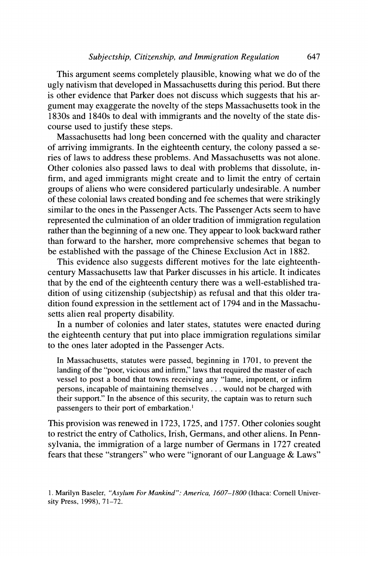This argument seems completely plausible, knowing what we do of the ugly nativism that developed in Massachusetts during this period. But there is other evidence that Parker does not discuss which suggests that his ar gument may exaggerate the novelty of the steps Massachusetts took in the 1830s and 1840s to deal with immigrants and the novelty of the state dis course used to justify these steps.

 Massachusetts had long been concerned with the quality and character of arriving immigrants. In the eighteenth century, the colony passed a se ries of laws to address these problems. And Massachusetts was not alone. Other colonies also passed laws to deal with problems that dissolute, in firm, and aged immigrants might create and to limit the entry of certain groups of aliens who were considered particularly undesirable. A number of these colonial laws created bonding and fee schemes that were strikingly similar to the ones in the Passenger Acts. The Passenger Acts seem to have represented the culmination of an older tradition of immigration regulation rather than the beginning of a new one. They appear to look backward rather than forward to the harsher, more comprehensive schemes that began to be established with the passage of the Chinese Exclusion Act in 1882.

 This evidence also suggests different motives for the late eighteenth century Massachusetts law that Parker discusses in his article. It indicates that by the end of the eighteenth century there was a well-established tra dition of using citizenship (subjectship) as refusal and that this older tra dition found expression in the settlement act of 1794 and in the Massachu setts alien real property disability.

 In a number of colonies and later states, statutes were enacted during the eighteenth century that put into place immigration regulations similar to the ones later adopted in the Passenger Acts.

 In Massachusetts, statutes were passed, beginning in 1701, to prevent the landing of the "poor, vicious and infirm," laws that required the master of each vessel to post a bond that towns receiving any "lame, impotent, or infirm persons, incapable of maintaining themselves ... would not be charged with their support." In the absence of this security, the captain was to return such passengers to their port of embarkation.'

 This provision was renewed in 1723, 1725, and 1757. Other colonies sought to restrict the entry of Catholics, Irish, Germans, and other aliens. In Penn sylvania, the immigration of a large number of Germans in 1727 created fears that these "strangers" who were "ignorant of our Language & Laws"

 <sup>1.</sup> Marilyn Baseler, "Asylum For Mankind": America, 1607-1800 (Ithaca: Cornell Univer sity Press, 1998), 71-72.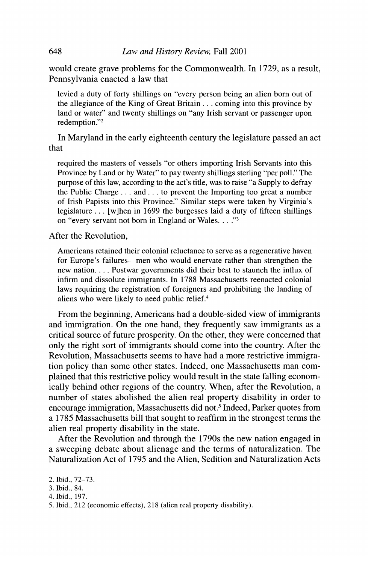would create grave problems for the Commonwealth. In 1729, as a result, Pennsylvania enacted a law that

 levied a duty of forty shillings on "every person being an alien born out of the allegiance of the King of Great Britain ... coming into this province by land or water" and twenty shillings on "any Irish servant or passenger upon redemption."2

 In Maryland in the early eighteenth century the legislature passed an act that

 required the masters of vessels "or others importing Irish Servants into this Province by Land or by Water" to pay twenty shillings sterling "per poll." The purpose of this law, according to the act's title, was to raise "a Supply to defray the Public Charge... and... to prevent the Importing too great a number of Irish Papists into this Province." Similar steps were taken by Virginia's legislature ... [w]hen in 1699 the burgesses laid a duty of fifteen shillings on "every servant not born in England or Wales. . . ."<sup>3</sup>

After the Revolution,

 Americans retained their colonial reluctance to serve as a regenerative haven for Europe's failures—men who would enervate rather than strengthen the new nation.... Postwar governments did their best to staunch the influx of infirm and dissolute immigrants. In 1788 Massachusetts reenacted colonial laws requiring the registration of foreigners and prohibiting the landing of aliens who were likely to need public relief.<sup>4</sup>

 From the beginning, Americans had a double-sided view of immigrants and immigration. On the one hand, they frequently saw immigrants as a critical source of future prosperity. On the other, they were concerned that only the right sort of immigrants should come into the country. After the Revolution, Massachusetts seems to have had a more restrictive immigra tion policy than some other states. Indeed, one Massachusetts man com plained that this restrictive policy would result in the state falling econom ically behind other regions of the country. When, after the Revolution, a number of states abolished the alien real property disability in order to encourage immigration, Massachusetts did not.<sup>5</sup> Indeed, Parker quotes from a 1785 Massachusetts bill that sought to reaffirm in the strongest terms the alien real property disability in the state.

 After the Revolution and through the 1790s the new nation engaged in a sweeping debate about alienage and the terms of naturalization. The Naturalization Act of 1795 and the Alien, Sedition and Naturalization Acts

4. Ibid., 197.

648

 <sup>2.</sup> Ibid., 72-73.

 <sup>3.</sup> Ibid., 84.

 <sup>5.</sup> Ibid., 212 (economic effects), 218 (alien real property disability).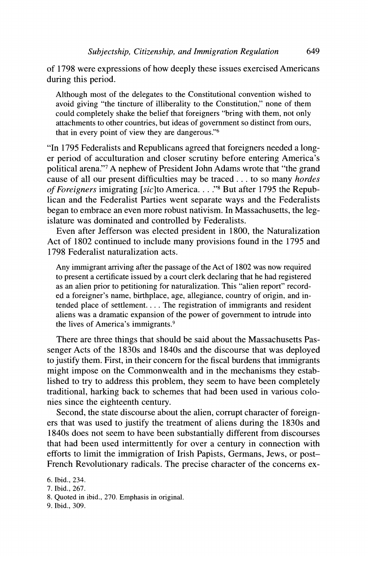of 1798 were expressions of how deeply these issues exercised Americans during this period.

 Although most of the delegates to the Constitutional convention wished to avoid giving "the tincture of illiberality to the Constitution," none of them could completely shake the belief that foreigners "bring with them, not only attachments to other countries, but ideas of government so distinct from ours, that in every point of view they are dangerous."6

 "In 1795 Federalists and Republicans agreed that foreigners needed a long er period of acculturation and closer scrutiny before entering America's political arena."7 A nephew of President John Adams wrote that "the grand cause of all our present difficulties may be traced... to so many *hordes* of Foreigners imigrating [sic]to America. . . . "<sup>8</sup> But after 1795 the Repub lican and the Federalist Parties went separate ways and the Federalists began to embrace an even more robust nativism. In Massachusetts, the leg islature was dominated and controlled by Federalists.

 Even after Jefferson was elected president in 1800, the Naturalization Act of 1802 continued to include many provisions found in the 1795 and 1798 Federalist naturalization acts.

 Any immigrant arriving after the passage of the Act of 1802 was now required to present a certificate issued by a court clerk declaring that he had registered as an alien prior to petitioning for naturalization. This "alien report" record ed a foreigner's name, birthplace, age, allegiance, country of origin, and in tended place of settlement.... The registration of immigrants and resident aliens was a dramatic expansion of the power of government to intrude into the lives of America's immigrants.9

 There are three things that should be said about the Massachusetts Pas senger Acts of the 1830s and 1840s and the discourse that was deployed to justify them. First, in their concern for the fiscal burdens that immigrants might impose on the Commonwealth and in the mechanisms they estab lished to try to address this problem, they seem to have been completely traditional, harking back to schemes that had been used in various colo nies since the eighteenth century.

 Second, the state discourse about the alien, corrupt character of foreign ers that was used to justify the treatment of aliens during the 1830s and 1840s does not seem to have been substantially different from discourses that had been used intermittently for over a century in connection with efforts to limit the immigration of Irish Papists, Germans, Jews, or post- French Revolutionary radicals. The precise character of the concerns ex-

9. Ibid., 309.

 <sup>6.</sup> Ibid., 234.

 <sup>7.</sup> Ibid., 267.

 <sup>8.</sup> Quoted in ibid., 270. Emphasis in original.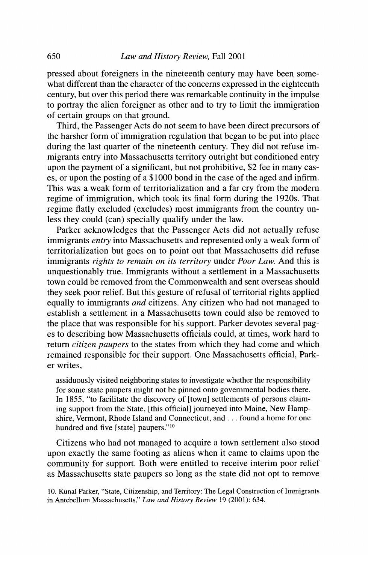pressed about foreigners in the nineteenth century may have been some what different than the character of the concerns expressed in the eighteenth century, but over this period there was remarkable continuity in the impulse to portray the alien foreigner as other and to try to limit the immigration of certain groups on that ground.

 Third, the Passenger Acts do not seem to have been direct precursors of the harsher form of immigration regulation that began to be put into place during the last quarter of the nineteenth century. They did not refuse im migrants entry into Massachusetts territory outright but conditioned entry upon the payment of a significant, but not prohibitive, \$2 fee in many cas es, or upon the posting of a \$1000 bond in the case of the aged and infirm. This was a weak form of territorialization and a far cry from the modem regime of immigration, which took its final form during the 1920s. That regime flatly excluded (excludes) most immigrants from the country un less they could (can) specially qualify under the law.

 Parker acknowledges that the Passenger Acts did not actually refuse immigrants entry into Massachusetts and represented only a weak form of territorialization but goes on to point out that Massachusetts did refuse immigrants rights to remain on its territory under Poor Law. And this is unquestionably true. Immigrants without a settlement in a Massachusetts town could be removed from the Commonwealth and sent overseas should they seek poor relief. But this gesture of refusal of territorial rights applied equally to immigrants and citizens. Any citizen who had not managed to establish a settlement in a Massachusetts town could also be removed to the place that was responsible for his support. Parker devotes several pag es to describing how Massachusetts officials could, at times, work hard to return *citizen paupers* to the states from which they had come and which remained responsible for their support. One Massachusetts official, Park er writes,

 assiduously visited neighboring states to investigate whether the responsibility for some state paupers might not be pinned onto governmental bodies there. In 1855, "to facilitate the discovery of [town] settlements of persons claim ing support from the State, [this official] journeyed into Maine, New Hamp shire, Vermont, Rhode Island and Connecticut, and ... found a home for one hundred and five [state] paupers."<sup>10</sup>

 Citizens who had not managed to acquire a town settlement also stood upon exactly the same footing as aliens when it came to claims upon the community for support. Both were entitled to receive interim poor relief as Massachusetts state paupers so long as the state did not opt to remove

 10. Kunal Parker, "State, Citizenship, and Territory: The Legal Construction of Immigrants in Antebellum Massachusetts," Law and History Review 19 (2001): 634.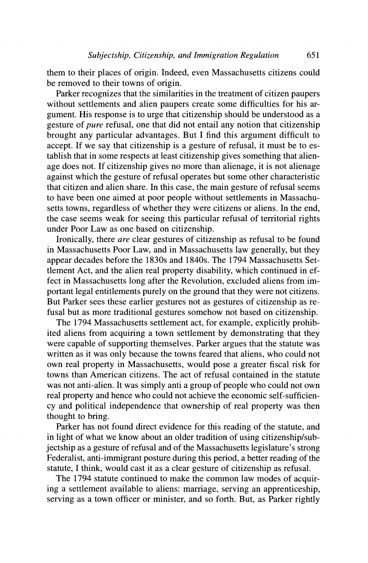them to their places of origin. Indeed, even Massachusetts citizens could be removed to their towns of origin.

 Parker recognizes that the similarities in the treatment of citizen paupers without settlements and alien paupers create some difficulties for his ar gument. His response is to urge that citizenship should be understood as a gesture of *pure* refusal, one that did not entail any notion that citizenship brought any particular advantages. But I find this argument difficult to accept. If we say that citizenship is a gesture of refusal, it must be to es tablish that in some respects at least citizenship gives something that alien age does not. If citizenship gives no more than alienage, it is not alienage against which the gesture of refusal operates but some other characteristic that citizen and alien share. In this case, the main gesture of refusal seems to have been one aimed at poor people without settlements in Massachu setts towns, regardless of whether they were citizens or aliens. In the end, the case seems weak for seeing this particular refusal of territorial rights under Poor Law as one based on citizenship.

 Ironically, there are clear gestures of citizenship as refusal to be found in Massachusetts Poor Law, and in Massachusetts law generally, but they appear decades before the 1830s and 1840s. The 1794 Massachusetts Set tlement Act, and the alien real property disability, which continued in ef fect in Massachusetts long after the Revolution, excluded aliens from im portant legal entitlements purely on the ground that they were not citizens. But Parker sees these earlier gestures not as gestures of citizenship as re fusal but as more traditional gestures somehow not based on citizenship.

 The 1794 Massachusetts settlement act, for example, explicitly prohib ited aliens from acquiring a town settlement by demonstrating that they were capable of supporting themselves. Parker argues that the statute was written as it was only because the towns feared that aliens, who could not own real property in Massachusetts, would pose a greater fiscal risk for towns than American citizens. The act of refusal contained in the statute was not anti-alien. It was simply anti a group of people who could not own real property and hence who could not achieve the economic self-sufficien cy and political independence that ownership of real property was then thought to bring.

 Parker has not found direct evidence for this reading of the statute, and in light of what we know about an older tradition of using citizenship/sub jectship as a gesture of refusal and of the Massachusetts legislature's strong Federalist, anti-immigrant posture during this period, a better reading of the statute, I think, would cast it as a clear gesture of citizenship as refusal.

 The 1794 statute continued to make the common law modes of acquir ing a settlement available to aliens: marriage, serving an apprenticeship, serving as a town officer or minister, and so forth. But, as Parker rightly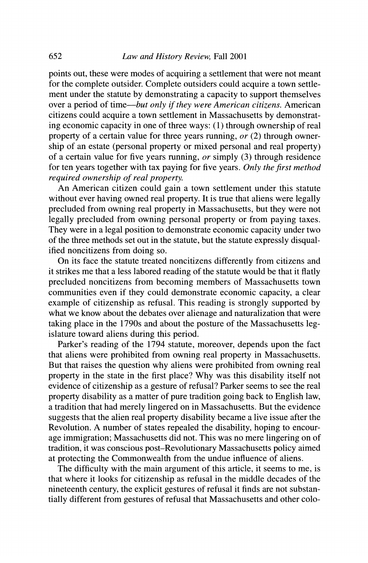points out, these were modes of acquiring a settlement that were not meant for the complete outsider. Complete outsiders could acquire a town settle ment under the statute by demonstrating a capacity to support themselves over a period of time—but only if they were American citizens. American citizens could acquire a town settlement in Massachusetts by demonstrat ing economic capacity in one of three ways: (1) through ownership of real property of a certain value for three years running, or (2) through owner ship of an estate (personal property or mixed personal and real property) of a certain value for five years running,  $or$  simply (3) through residence for ten years together with tax paying for five years. Only the first method required ownership of real property.

 An American citizen could gain a town settlement under this statute without ever having owned real property. It is true that aliens were legally precluded from owning real property in Massachusetts, but they were not legally precluded from owning personal property or from paying taxes. They were in a legal position to demonstrate economic capacity under two of the three methods set out in the statute, but the statute expressly disqual ified noncitizens from doing so.

 On its face the statute treated noncitizens differently from citizens and it strikes me that a less labored reading of the statute would be that it flatly precluded noncitizens from becoming members of Massachusetts town communities even if they could demonstrate economic capacity, a clear example of citizenship as refusal. This reading is strongly supported by what we know about the debates over alienage and naturalization that were taking place in the 1790s and about the posture of the Massachusetts leg islature toward aliens during this period.

 Parker's reading of the 1794 statute, moreover, depends upon the fact that aliens were prohibited from owning real property in Massachusetts. But that raises the question why aliens were prohibited from owning real property in the state in the first place? Why was this disability itself not evidence of citizenship as a gesture of refusal? Parker seems to see the real property disability as a matter of pure tradition going back to English law, a tradition that had merely lingered on in Massachusetts. But the evidence suggests that the alien real property disability became a live issue after the Revolution. A number of states repealed the disability, hoping to encour age immigration; Massachusetts did not. This was no mere lingering on of tradition, it was conscious post-Revolutionary Massachusetts policy aimed at protecting the Commonwealth from the undue influence of aliens.

 The difficulty with the main argument of this article, it seems to me, is that where it looks for citizenship as refusal in the middle decades of the nineteenth century, the explicit gestures of refusal it finds are not substan tially different from gestures of refusal that Massachusetts and other colo-